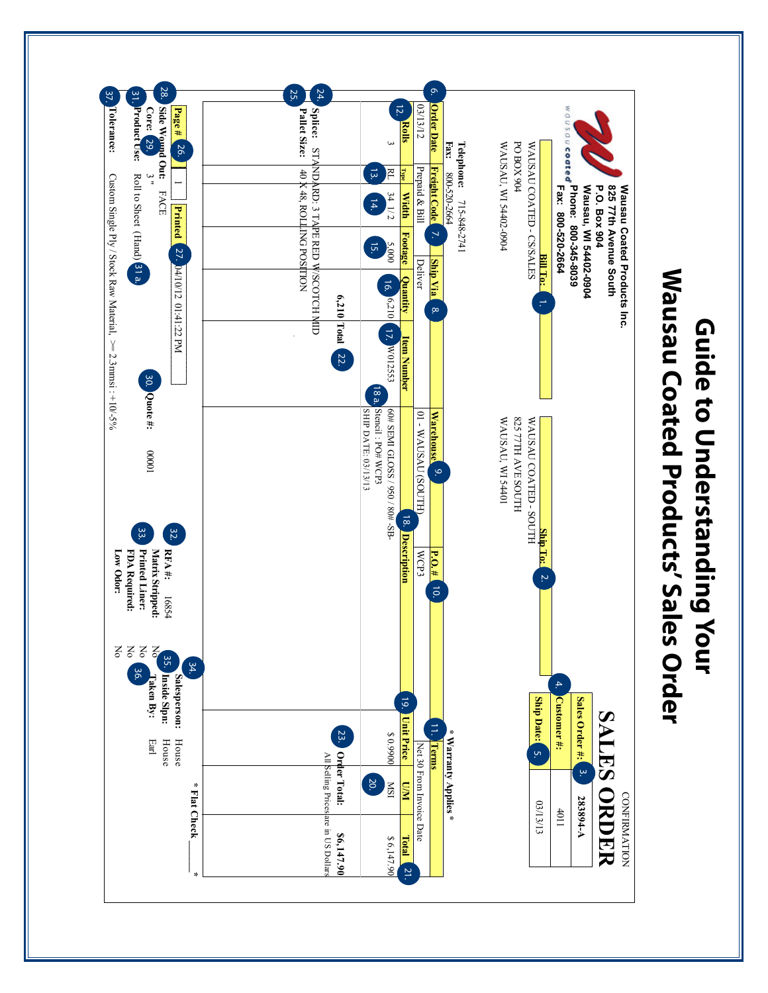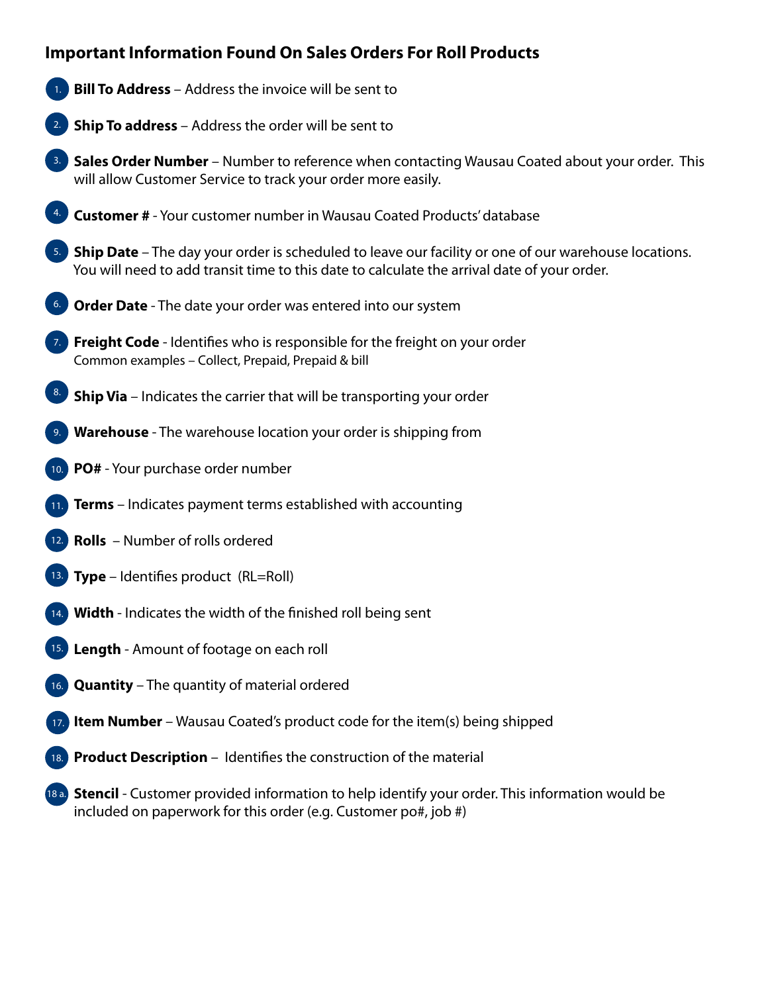## **Important Information Found On Sales Orders For Roll Products**

- **Bill To Address** Address the invoice will be sent to 1.
- **2.** Ship To address Address the order will be sent to
- **3.** Sales Order Number Number to reference when contacting Wausau Coated about your order. This will allow Customer Service to track your order more easily.
- **Customer #**  Your customer number in Wausau Coated Products' database 4.
- **5.** Ship Date The day your order is scheduled to leave our facility or one of our warehouse locations. You will need to add transit time to this date to calculate the arrival date of your order.
- **6.** Order Date The date your order was entered into our system
- **7.** Freight Code Identifies who is responsible for the freight on your order Common examples – Collect, Prepaid, Prepaid & bill
- **Ship Via** Indicates the carrier that will be transporting your order 8.
- **Warehouse** The warehouse location your order is shipping from 9.
- 10. PO# Your purchase order number
- **11.** Terms Indicates payment terms established with accounting
- **Rolls** Number of rolls ordered
- **Type** Identifies product (RL=Roll)
- **Width**  Indicates the width of the finished roll being sent 14.
- **Length** Amount of footage on each roll 15.
- **Quantity** The quantity of material ordered  $16.$
- **Item Number** Wausau Coated's product code for the item(s) being shipped
- **18.** Product Description Identifies the construction of the material
- **Stencil** Customer provided information to help identify your order. This information would be 18 a.included on paperwork for this order (e.g. Customer po#, job #)